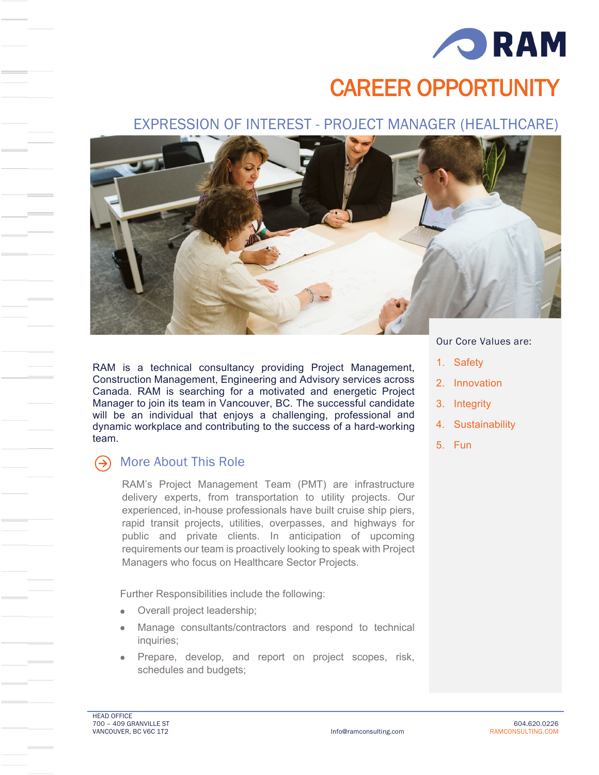

# CAREER OPPORTUNITY

## EXPRESSION OF INTEREST - PROJECT MANAGER (HEALTHCARE)



RAM is a technical consultancy providing Project Management, Construction Management, Engineering and Advisory services across Canada. RAM is searching for a motivated and energetic Project Manager to join its team in Vancouver, BC. The successful candidate will be an individual that enjoys a challenging, professional and dynamic workplace and contributing to the success of a hard-working team.

#### More About This Role  $(\rightarrow)$

RAM's Project Management Team (PMT) are infrastructure delivery experts, from transportation to utility projects. Our experienced, in-house professionals have built cruise ship piers, rapid transit projects, utilities, overpasses, and highways for public and private clients. In anticipation of upcoming requirements our team is proactively looking to speak with Project Managers who focus on Healthcare Sector Projects.

Further Responsibilities include the following:

- Overall project leadership;
- Manage consultants/contractors and respond to technical inquiries;
- Prepare, develop, and report on project scopes, risk, schedules and budgets;

## Our Core Values are:

- 1. Safety
- 2. Innovation
- 3. Integrity
- 4. Sustainability
- 5. Fun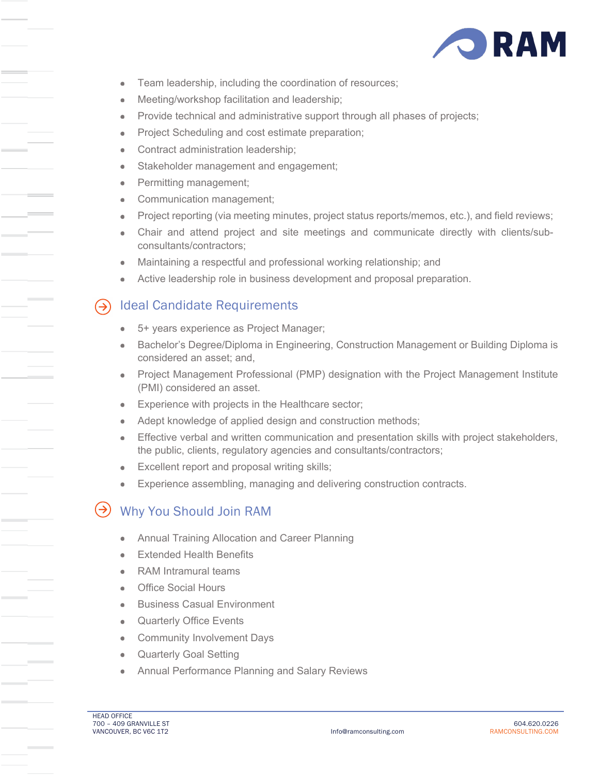

- Team leadership, including the coordination of resources;  $\bullet$
- Meeting/workshop facilitation and leadership;  $\bullet$
- Provide technical and administrative support through all phases of projects;  $\bullet$
- Project Scheduling and cost estimate preparation;  $\bullet$
- Contract administration leadership;
- Stakeholder management and engagement;  $\bullet$
- Permitting management;  $\bullet$
- Communication management;  $\blacksquare$
- Project reporting (via meeting minutes, project status reports/memos, etc.), and field reviews;  $\bullet$
- Chair and attend project and site meetings and communicate directly with clients/sub- $\bullet$ consultants/contractors;
- Maintaining a respectful and professional working relationship; and
- Active leadership role in business development and proposal preparation.

## Ideal Candidate Requirements

- 5+ years experience as Project Manager;  $\blacksquare$
- Bachelor's Degree/Diploma in Engineering, Construction Management or Building Diploma is considered an asset; and,
- Project Management Professional (PMP) designation with the Project Management Institute  $\bullet$ (PMI) considered an asset.
- Experience with projects in the Healthcare sector;  $\bullet$
- Adept knowledge of applied design and construction methods;
- Effective verbal and written communication and presentation skills with project stakeholders,  $\blacksquare$ the public, clients, regulatory agencies and consultants/contractors;
- Excellent report and proposal writing skills;
- Experience assembling, managing and delivering construction contracts.  $\bullet$

# Why You Should Join RAM

- Annual Training Allocation and Career Planning
- Extended Health Benefits
- RAM Intramural teams
- Office Social Hours  $\bullet$
- Business Casual Environment
- Quarterly Office Events  $\bullet$
- Community Involvement Days  $\bullet$
- Quarterly Goal Setting  $\mathfrak{m}$
- Annual Performance Planning and Salary Reviews